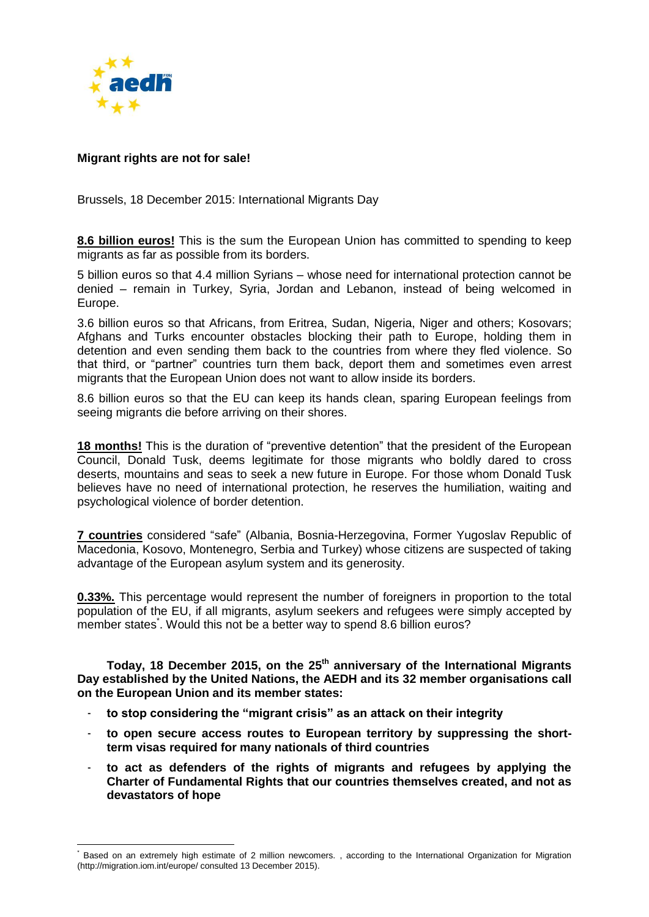

 $\overline{a}$ 

## **Migrant rights are not for sale!**

Brussels, 18 December 2015: International Migrants Day

**8.6 billion euros!** This is the sum the European Union has committed to spending to keep migrants as far as possible from its borders.

5 billion euros so that 4.4 million Syrians – whose need for international protection cannot be denied – remain in Turkey, Syria, Jordan and Lebanon, instead of being welcomed in Europe.

3.6 billion euros so that Africans, from Eritrea, Sudan, Nigeria, Niger and others; Kosovars; Afghans and Turks encounter obstacles blocking their path to Europe, holding them in detention and even sending them back to the countries from where they fled violence. So that third, or "partner" countries turn them back, deport them and sometimes even arrest migrants that the European Union does not want to allow inside its borders.

8.6 billion euros so that the EU can keep its hands clean, sparing European feelings from seeing migrants die before arriving on their shores.

**18 months!** This is the duration of "preventive detention" that the president of the European Council, Donald Tusk, deems legitimate for those migrants who boldly dared to cross deserts, mountains and seas to seek a new future in Europe. For those whom Donald Tusk believes have no need of international protection, he reserves the humiliation, waiting and psychological violence of border detention.

**7 countries** considered "safe" (Albania, Bosnia-Herzegovina, Former Yugoslav Republic of Macedonia, Kosovo, Montenegro, Serbia and Turkey) whose citizens are suspected of taking advantage of the European asylum system and its generosity.

**0.33%.** This percentage would represent the number of foreigners in proportion to the total population of the EU, if all migrants, asylum seekers and refugees were simply accepted by member states<sup>\*</sup>. Would this not be a better way to spend 8.6 billion euros?

**Today, 18 December 2015, on the 25th anniversary of the International Migrants Day established by the United Nations, the AEDH and its 32 member organisations call on the European Union and its member states:**

- **to stop considering the "migrant crisis" as an attack on their integrity**
- **to open secure access routes to European territory by suppressing the shortterm visas required for many nationals of third countries**
- **to act as defenders of the rights of migrants and refugees by applying the Charter of Fundamental Rights that our countries themselves created, and not as devastators of hope**

Based on an extremely high estimate of 2 million newcomers. , according to the International Organization for Migration (http://migration.iom.int/europe/ consulted 13 December 2015).